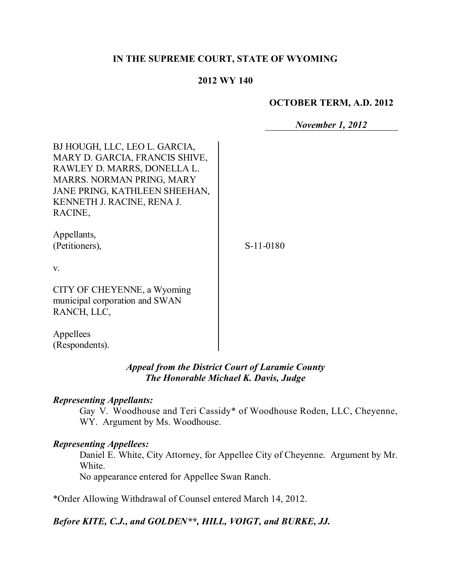# **IN THE SUPREME COURT, STATE OF WYOMING**

#### **2012 WY 140**

#### **OCTOBER TERM, A.D. 2012**

*November 1, 2012*

| BJ HOUGH, LLC, LEO L. GARCIA,<br>MARY D. GARCIA, FRANCIS SHIVE,<br>RAWLEY D. MARRS, DONELLA L.<br>MARRS. NORMAN PRING, MARY<br>JANE PRING, KATHLEEN SHEEHAN,<br>KENNETH J. RACINE, RENA J.<br>RACINE, |           |
|-------------------------------------------------------------------------------------------------------------------------------------------------------------------------------------------------------|-----------|
| Appellants,<br>(Petitioners),                                                                                                                                                                         | S-11-0180 |
| V.                                                                                                                                                                                                    |           |
| CITY OF CHEYENNE, a Wyoming<br>municipal corporation and SWAN<br>RANCH, LLC,                                                                                                                          |           |
| Appellees                                                                                                                                                                                             |           |

# *Appeal from the District Court of Laramie County The Honorable Michael K. Davis, Judge*

#### *Representing Appellants:*

(Respondents).

Gay V. Woodhouse and Teri Cassidy\* of Woodhouse Roden, LLC, Cheyenne, WY. Argument by Ms. Woodhouse.

#### *Representing Appellees:*

Daniel E. White, City Attorney, for Appellee City of Cheyenne. Argument by Mr. White.

No appearance entered for Appellee Swan Ranch.

\*Order Allowing Withdrawal of Counsel entered March 14, 2012.

# *Before KITE, C.J., and GOLDEN\*\*, HILL, VOIGT, and BURKE, JJ.*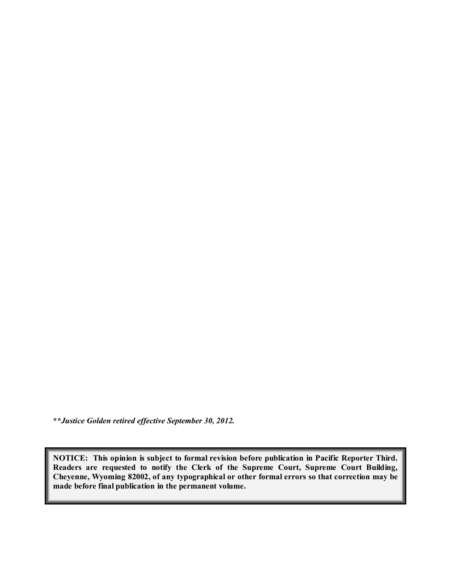**\*\****Justice Golden retired effective September 30, 2012.*

**NOTICE: This opinion is subject to formal revision before publication in Pacific Reporter Third. Readers are requested to notify the Clerk of the Supreme Court, Supreme Court Building, Cheyenne, Wyoming 82002, of any typographical or other formal errors so that correction may be made before final publication in the permanent volume.**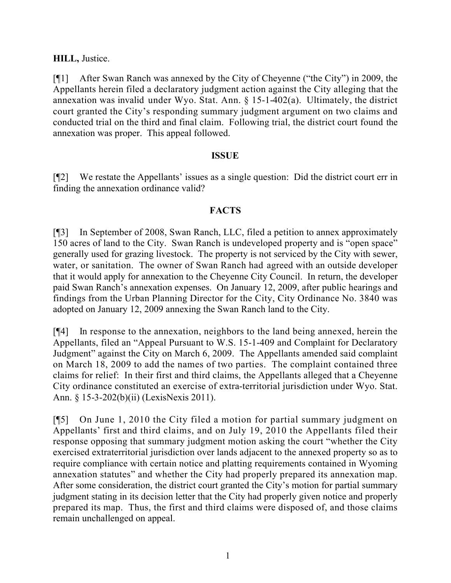# **HILL,** Justice.

[¶1] After Swan Ranch was annexed by the City of Cheyenne ("the City") in 2009, the Appellants herein filed a declaratory judgment action against the City alleging that the annexation was invalid under Wyo. Stat. Ann. § 15-1-402(a). Ultimately, the district court granted the City's responding summary judgment argument on two claims and conducted trial on the third and final claim. Following trial, the district court found the annexation was proper. This appeal followed.

# **ISSUE**

[¶2] We restate the Appellants' issues as a single question: Did the district court err in finding the annexation ordinance valid?

# **FACTS**

[¶3] In September of 2008, Swan Ranch, LLC, filed a petition to annex approximately 150 acres of land to the City. Swan Ranch is undeveloped property and is "open space" generally used for grazing livestock. The property is not serviced by the City with sewer, water, or sanitation. The owner of Swan Ranch had agreed with an outside developer that it would apply for annexation to the Cheyenne City Council. In return, the developer paid Swan Ranch's annexation expenses. On January 12, 2009, after public hearings and findings from the Urban Planning Director for the City, City Ordinance No. 3840 was adopted on January 12, 2009 annexing the Swan Ranch land to the City.

[¶4] In response to the annexation, neighbors to the land being annexed, herein the Appellants, filed an "Appeal Pursuant to W.S. 15-1-409 and Complaint for Declaratory Judgment" against the City on March 6, 2009. The Appellants amended said complaint on March 18, 2009 to add the names of two parties. The complaint contained three claims for relief: In their first and third claims, the Appellants alleged that a Cheyenne City ordinance constituted an exercise of extra-territorial jurisdiction under Wyo. Stat. Ann. § 15-3-202(b)(ii) (LexisNexis 2011).

[¶5] On June 1, 2010 the City filed a motion for partial summary judgment on Appellants' first and third claims, and on July 19, 2010 the Appellants filed their response opposing that summary judgment motion asking the court "whether the City exercised extraterritorial jurisdiction over lands adjacent to the annexed property so as to require compliance with certain notice and platting requirements contained in Wyoming annexation statutes" and whether the City had properly prepared its annexation map. After some consideration, the district court granted the City's motion for partial summary judgment stating in its decision letter that the City had properly given notice and properly prepared its map. Thus, the first and third claims were disposed of, and those claims remain unchallenged on appeal.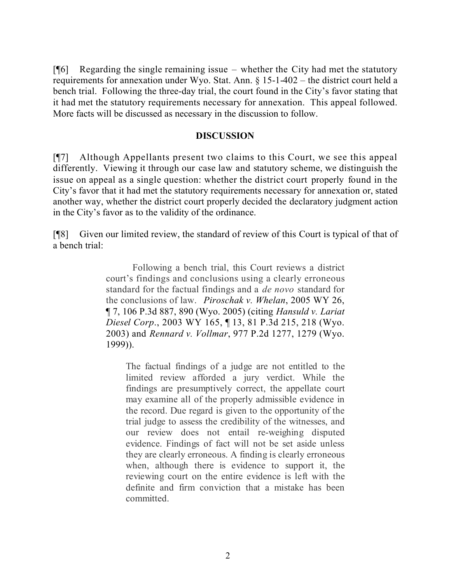$[$ [ $|$ 6] Regarding the single remaining issue – whether the City had met the statutory requirements for annexation under Wyo. Stat. Ann. § 15-1-402 – the district court held a bench trial. Following the three-day trial, the court found in the City's favor stating that it had met the statutory requirements necessary for annexation. This appeal followed. More facts will be discussed as necessary in the discussion to follow.

#### **DISCUSSION**

[¶7] Although Appellants present two claims to this Court, we see this appeal differently. Viewing it through our case law and statutory scheme, we distinguish the issue on appeal as a single question: whether the district court properly found in the City's favor that it had met the statutory requirements necessary for annexation or, stated another way, whether the district court properly decided the declaratory judgment action in the City's favor as to the validity of the ordinance.

[¶8] Given our limited review, the standard of review of this Court is typical of that of a bench trial:

> Following a bench trial, this Court reviews a district court's findings and conclusions using a clearly erroneous standard for the factual findings and a *de novo* standard for the conclusions of law. *Piroschak v. Whelan*, 2005 WY 26, ¶ 7, 106 P.3d 887, 890 (Wyo. 2005) (citing *Hansuld v. Lariat Diesel Corp*., 2003 WY 165, ¶ 13, 81 P.3d 215, 218 (Wyo. 2003) and *Rennard v. Vollmar*, 977 P.2d 1277, 1279 (Wyo. 1999)).

The factual findings of a judge are not entitled to the limited review afforded a jury verdict. While the findings are presumptively correct, the appellate court may examine all of the properly admissible evidence in the record. Due regard is given to the opportunity of the trial judge to assess the credibility of the witnesses, and our review does not entail re-weighing disputed evidence. Findings of fact will not be set aside unless they are clearly erroneous. A finding is clearly erroneous when, although there is evidence to support it, the reviewing court on the entire evidence is left with the definite and firm conviction that a mistake has been committed.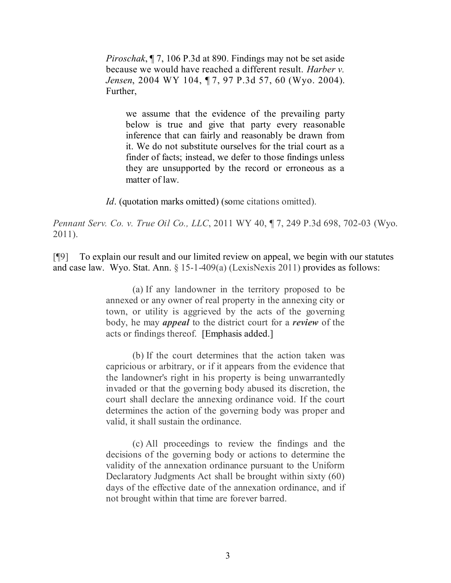*Piroschak*, ¶ 7, 106 P.3d at 890. Findings may not be set aside because we would have reached a different result. *Harber v. Jensen*, 2004 WY 104, ¶ 7, 97 P.3d 57, 60 (Wyo. 2004). Further,

we assume that the evidence of the prevailing party below is true and give that party every reasonable inference that can fairly and reasonably be drawn from it. We do not substitute ourselves for the trial court as a finder of facts; instead, we defer to those findings unless they are unsupported by the record or erroneous as a matter of law.

*Id.* (quotation marks omitted) (some citations omitted).

*Pennant Serv. Co. v. True Oil Co., LLC*, 2011 WY 40, ¶ 7, 249 P.3d 698, 702-03 (Wyo. 2011).

[¶9] To explain our result and our limited review on appeal, we begin with our statutes and case law. Wyo. Stat. Ann. § 15-1-409(a) (LexisNexis 2011) provides as follows:

> (a) If any landowner in the territory proposed to be annexed or any owner of real property in the annexing city or town, or utility is aggrieved by the acts of the governing body, he may *appeal* to the district court for a *review* of the acts or findings thereof. [Emphasis added.]

> (b) If the court determines that the action taken was capricious or arbitrary, or if it appears from the evidence that the landowner's right in his property is being unwarrantedly invaded or that the governing body abused its discretion, the court shall declare the annexing ordinance void. If the court determines the action of the governing body was proper and valid, it shall sustain the ordinance.

> (c) All proceedings to review the findings and the decisions of the governing body or actions to determine the validity of the annexation ordinance pursuant to the Uniform Declaratory Judgments Act shall be brought within sixty (60) days of the effective date of the annexation ordinance, and if not brought within that time are forever barred.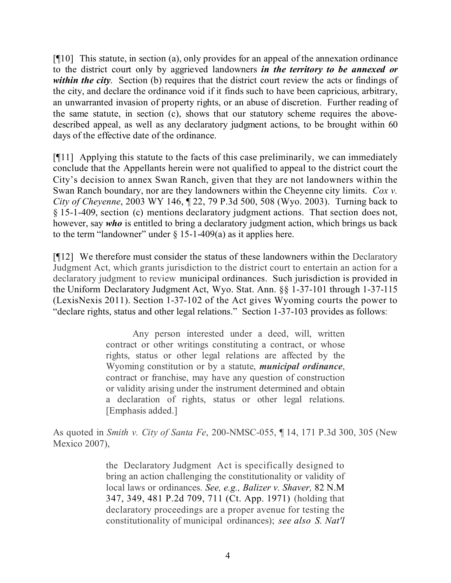[¶10] This statute, in section (a), only provides for an appeal of the annexation ordinance to the district court only by aggrieved landowners *in the territory to be annexed or within the city*. Section (b) requires that the district court review the acts or findings of the city, and declare the ordinance void if it finds such to have been capricious, arbitrary, an unwarranted invasion of property rights, or an abuse of discretion. Further reading of the same statute, in section (c), shows that our statutory scheme requires the abovedescribed appeal, as well as any declaratory judgment actions, to be brought within 60 days of the effective date of the ordinance.

[¶11] Applying this statute to the facts of this case preliminarily, we can immediately conclude that the Appellants herein were not qualified to appeal to the district court the City's decision to annex Swan Ranch, given that they are not landowners within the Swan Ranch boundary, nor are they landowners within the Cheyenne city limits. *Cox v. City of Cheyenne*, 2003 WY 146, ¶ 22, 79 P.3d 500, 508 (Wyo. 2003). Turning back to § 15-1-409, section (c) mentions declaratory judgment actions. That section does not, however, say *who* is entitled to bring a declaratory judgment action, which brings us back to the term "landowner" under  $\S$  15-1-409(a) as it applies here.

[¶12] We therefore must consider the status of these landowners within the Declaratory Judgment Act, which grants jurisdiction to the district court to entertain an action for a declaratory judgment to review municipal ordinances. Such jurisdiction is provided in the Uniform Declaratory Judgment Act, Wyo. Stat. Ann. §§ 1-37-101 through 1-37-115 (LexisNexis 2011). Section 1-37-102 of the Act gives Wyoming courts the power to "declare rights, status and other legal relations." Section 1-37-103 provides as follows:

> Any person interested under a deed, will, written contract or other writings constituting a contract, or whose rights, status or other legal relations are affected by the Wyoming constitution or by a statute, *municipal ordinance*, contract or franchise, may have any question of construction or validity arising under the instrument determined and obtain a declaration of rights, status or other legal relations. [Emphasis added.]

As quoted in *Smith v. City of Santa Fe*, 200-NMSC-055, ¶ 14, 171 P.3d 300, 305 (New Mexico 2007),

> the Declaratory Judgment Act is specifically designed to bring an action challenging the constitutionality or validity of local laws or ordinances. *See, e.g., Balizer v. Shaver,* 82 N.M 347, 349, 481 P.2d 709, 711 (Ct. App. 1971) (holding that declaratory proceedings are a proper avenue for testing the constitutionality of municipal ordinances); *see also S. Nat'l*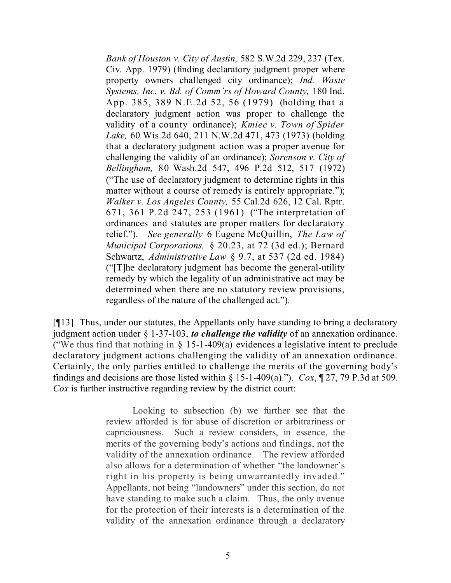*Bank of Houston v. City of Austin,* 582 S.W.2d 229, 237 (Tex. Civ. App. 1979) (finding declaratory judgment proper where property owners challenged city ordinance); *Ind. Waste Systems, Inc. v. Bd. of Comm'rs of Howard County,* 180 Ind. App. 385, 389 N.E.2d 52, 56 (1979) (holding that a declaratory judgment action was proper to challenge the validity of a county ordinance); *Kmiec v. Town of Spider Lake,* 60 Wis.2d 640, 211 N.W.2d 471, 473 (1973) (holding that a declaratory judgment action was a proper avenue for challenging the validity of an ordinance); *Sorenson v. City of Bellingham,* 80 Wash.2d 547, 496 P.2d 512, 517 (1972) ("The use of declaratory judgment to determine rights in this matter without a course of remedy is entirely appropriate."); *Walker v. Los Angeles County,* 55 Cal.2d 626, 12 Cal. Rptr. 671, 361 P.2d 247, 253 (1961) ("The interpretation of ordinances and statutes are proper matters for declaratory relief."). *See generally* 6 Eugene McQuillin, *The Law of Municipal Corporations,* § 20.23, at 72 (3d ed.); Bernard Schwartz, *Administrative Law* § 9.7, at 537 (2d ed. 1984) ("[T]he declaratory judgment has become the general-utility remedy by which the legality of an administrative act may be determined when there are no statutory review provisions, regardless of the nature of the challenged act.").

[¶13] Thus, under our statutes, the Appellants only have standing to bring a declaratory judgment action under § 1-37-103, *to challenge the validity* of an annexation ordinance. ("We thus find that nothing in  $\S$  15-1-409(a) evidences a legislative intent to preclude declaratory judgment actions challenging the validity of an annexation ordinance. Certainly, the only parties entitled to challenge the merits of the governing body's findings and decisions are those listed within  $\S$  15-1-409(a)."). *Cox*,  $\P$  27, 79 P.3d at 509. *Cox* is further instructive regarding review by the district court:

> Looking to subsection (b) we further see that the review afforded is for abuse of discretion or arbitrariness or capriciousness. Such a review considers, in essence, the merits of the governing body's actions and findings, not the validity of the annexation ordinance. The review afforded also allows for a determination of whether "the landowner's right in his property is being unwarrantedly invaded." Appellants, not being "landowners" under this section, do not have standing to make such a claim. Thus, the only avenue for the protection of their interests is a determination of the validity of the annexation ordinance through a declaratory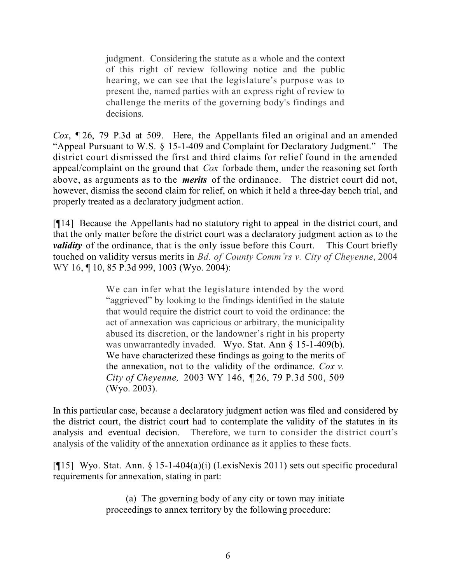judgment. Considering the statute as a whole and the context of this right of review following notice and the public hearing, we can see that the legislature's purpose was to present the, named parties with an express right of review to challenge the merits of the governing body's findings and decisions.

*Cox*, ¶ 26, 79 P.3d at 509. Here, the Appellants filed an original and an amended "Appeal Pursuant to W.S. § 15-1-409 and Complaint for Declaratory Judgment." The district court dismissed the first and third claims for relief found in the amended appeal/complaint on the ground that *Cox* forbade them, under the reasoning set forth above, as arguments as to the *merits* of the ordinance. The district court did not, however, dismiss the second claim for relief, on which it held a three-day bench trial, and properly treated as a declaratory judgment action.

[¶14] Because the Appellants had no statutory right to appeal in the district court, and that the only matter before the district court was a declaratory judgment action as to the *validity* of the ordinance, that is the only issue before this Court. This Court briefly touched on validity versus merits in *Bd. of County Comm'rs v. City of Cheyenne*, 2004 WY 16, ¶ 10, 85 P.3d 999, 1003 (Wyo. 2004):

> We can infer what the legislature intended by the word "aggrieved" by looking to the findings identified in the statute that would require the district court to void the ordinance: the act of annexation was capricious or arbitrary, the municipality abused its discretion, or the landowner's right in his property was unwarrantedly invaded. Wyo. Stat. Ann § 15-1-409(b). We have characterized these findings as going to the merits of the annexation, not to the validity of the ordinance. *Cox v. City of Cheyenne,* 2003 WY 146, ¶ 26, 79 P.3d 500, 509 (Wyo. 2003).

In this particular case, because a declaratory judgment action was filed and considered by the district court, the district court had to contemplate the validity of the statutes in its analysis and eventual decision. Therefore, we turn to consider the district court's analysis of the validity of the annexation ordinance as it applies to these facts.

[¶15] Wyo. Stat. Ann. § 15-1-404(a)(i) (LexisNexis 2011) sets out specific procedural requirements for annexation, stating in part:

> (a) The governing body of any city or town may initiate proceedings to annex territory by the following procedure: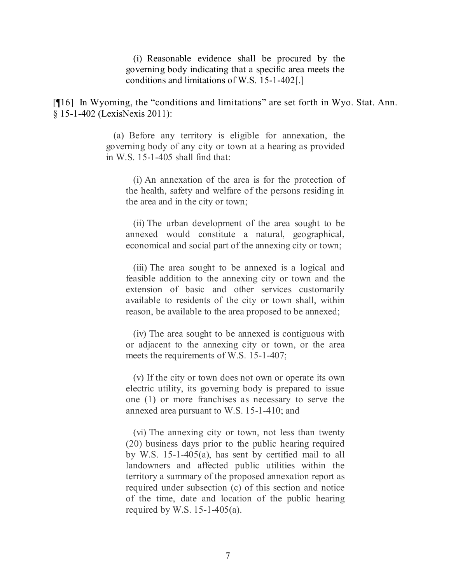(i) Reasonable evidence shall be procured by the governing body indicating that a specific area meets the conditions and limitations of W.S. 15-1-402[.]

[¶16] In Wyoming, the "conditions and limitations" are set forth in Wyo. Stat. Ann. § 15-1-402 (LexisNexis 2011):

> (a) Before any territory is eligible for annexation, the governing body of any city or town at a hearing as provided in W.S. 15-1-405 shall find that:

(i) An annexation of the area is for the protection of the health, safety and welfare of the persons residing in the area and in the city or town;

(ii) The urban development of the area sought to be annexed would constitute a natural, geographical, economical and social part of the annexing city or town;

(iii) The area sought to be annexed is a logical and feasible addition to the annexing city or town and the extension of basic and other services customarily available to residents of the city or town shall, within reason, be available to the area proposed to be annexed;

(iv) The area sought to be annexed is contiguous with or adjacent to the annexing city or town, or the area meets the requirements of W.S. 15-1-407;

(v) If the city or town does not own or operate its own electric utility, its governing body is prepared to issue one (1) or more franchises as necessary to serve the annexed area pursuant to W.S. 15-1-410; and

(vi) The annexing city or town, not less than twenty (20) business days prior to the public hearing required by W.S. 15-1-405(a), has sent by certified mail to all landowners and affected public utilities within the territory a summary of the proposed annexation report as required under subsection (c) of this section and notice of the time, date and location of the public hearing required by W.S.  $15-1-405(a)$ .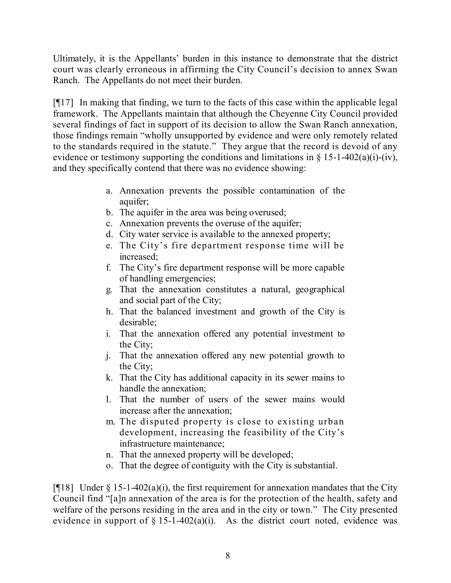Ultimately, it is the Appellants' burden in this instance to demonstrate that the district court was clearly erroneous in affirming the City Council's decision to annex Swan Ranch. The Appellants do not meet their burden.

[¶17] In making that finding, we turn to the facts of this case within the applicable legal framework. The Appellants maintain that although the Cheyenne City Council provided several findings of fact in support of its decision to allow the Swan Ranch annexation, those findings remain "wholly unsupported by evidence and were only remotely related to the standards required in the statute." They argue that the record is devoid of any evidence or testimony supporting the conditions and limitations in  $\S 15$ -1-402(a)(i)-(iv), and they specifically contend that there was no evidence showing:

- a. Annexation prevents the possible contamination of the aquifer;
- b. The aquifer in the area was being overused;
- c. Annexation prevents the overuse of the aquifer;
- d. City water service is available to the annexed property;
- e. The City's fire department response time will be increased;
- f. The City's fire department response will be more capable of handling emergencies;
- g. That the annexation constitutes a natural, geographical and social part of the City;
- h. That the balanced investment and growth of the City is desirable;
- i. That the annexation offered any potential investment to the City;
- j. That the annexation offered any new potential growth to the City;
- k. That the City has additional capacity in its sewer mains to handle the annexation;
- l. That the number of users of the sewer mains would increase after the annexation;
- m. The disputed property is close to existing urban development, increasing the feasibility of the City's infrastructure maintenance;
- n. That the annexed property will be developed;
- o. That the degree of contiguity with the City is substantial.

[ $[18]$ ] Under  $\S 15$ -1-402(a)(i), the first requirement for annexation mandates that the City Council find "[a]n annexation of the area is for the protection of the health, safety and welfare of the persons residing in the area and in the city or town." The City presented evidence in support of  $\S$  15-1-402(a)(i). As the district court noted, evidence was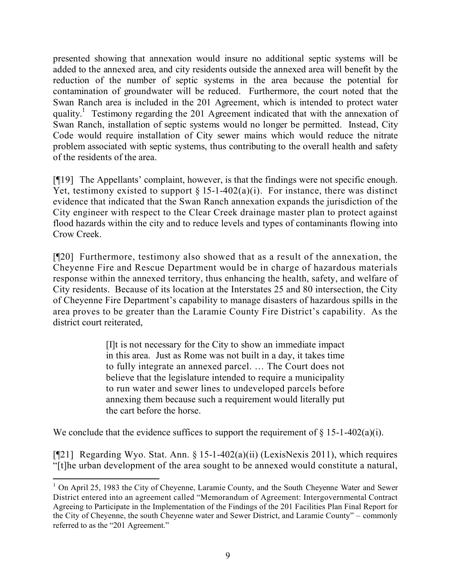presented showing that annexation would insure no additional septic systems will be added to the annexed area, and city residents outside the annexed area will benefit by the reduction of the number of septic systems in the area because the potential for contamination of groundwater will be reduced. Furthermore, the court noted that the Swan Ranch area is included in the 201 Agreement, which is intended to protect water quality.<sup>1</sup> Testimony regarding the 201 Agreement indicated that with the annexation of Swan Ranch, installation of septic systems would no longer be permitted. Instead, City Code would require installation of City sewer mains which would reduce the nitrate problem associated with septic systems, thus contributing to the overall health and safety of the residents of the area.

[¶19] The Appellants' complaint, however, is that the findings were not specific enough. Yet, testimony existed to support  $\S 15$ -1-402(a)(i). For instance, there was distinct evidence that indicated that the Swan Ranch annexation expands the jurisdiction of the City engineer with respect to the Clear Creek drainage master plan to protect against flood hazards within the city and to reduce levels and types of contaminants flowing into Crow Creek.

[¶20] Furthermore, testimony also showed that as a result of the annexation, the Cheyenne Fire and Rescue Department would be in charge of hazardous materials response within the annexed territory, thus enhancing the health, safety, and welfare of City residents. Because of its location at the Interstates 25 and 80 intersection, the City of Cheyenne Fire Department's capability to manage disasters of hazardous spills in the area proves to be greater than the Laramie County Fire District's capability. As the district court reiterated,

> [I]t is not necessary for the City to show an immediate impact in this area. Just as Rome was not built in a day, it takes time to fully integrate an annexed parcel. … The Court does not believe that the legislature intended to require a municipality to run water and sewer lines to undeveloped parcels before annexing them because such a requirement would literally put the cart before the horse.

We conclude that the evidence suffices to support the requirement of  $\S$  15-1-402(a)(i).

 $\overline{a}$ 

[¶21] Regarding Wyo. Stat. Ann. § 15-1-402(a)(ii) (LexisNexis 2011), which requires "[t]he urban development of the area sought to be annexed would constitute a natural,

<sup>&</sup>lt;sup>1</sup> On April 25, 1983 the City of Cheyenne, Laramie County, and the South Cheyenne Water and Sewer District entered into an agreement called "Memorandum of Agreement: Intergovernmental Contract Agreeing to Participate in the Implementation of the Findings of the 201 Facilities Plan Final Report for the City of Cheyenne, the south Cheyenne water and Sewer District, and Laramie County" – commonly referred to as the "201 Agreement."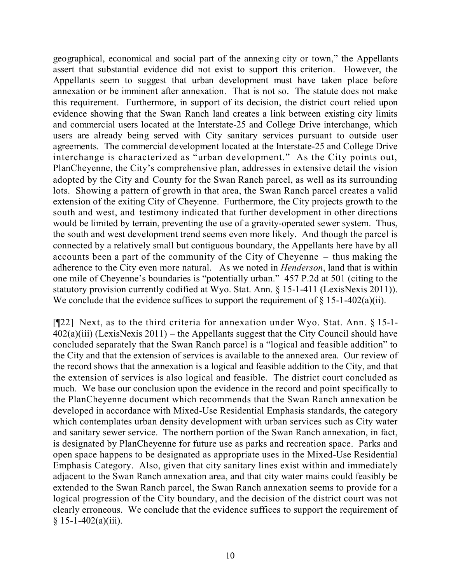geographical, economical and social part of the annexing city or town," the Appellants assert that substantial evidence did not exist to support this criterion. However, the Appellants seem to suggest that urban development must have taken place before annexation or be imminent after annexation. That is not so. The statute does not make this requirement. Furthermore, in support of its decision, the district court relied upon evidence showing that the Swan Ranch land creates a link between existing city limits and commercial users located at the Interstate-25 and College Drive interchange, which users are already being served with City sanitary services pursuant to outside user agreements. The commercial development located at the Interstate-25 and College Drive interchange is characterized as "urban development." As the City points out, PlanCheyenne, the City's comprehensive plan, addresses in extensive detail the vision adopted by the City and County for the Swan Ranch parcel, as well as its surrounding lots. Showing a pattern of growth in that area, the Swan Ranch parcel creates a valid extension of the exiting City of Cheyenne. Furthermore, the City projects growth to the south and west, and testimony indicated that further development in other directions would be limited by terrain, preventing the use of a gravity-operated sewer system. Thus, the south and west development trend seems even more likely. And though the parcel is connected by a relatively small but contiguous boundary, the Appellants here have by all accounts been a part of the community of the City of Cheyenne – thus making the adherence to the City even more natural. As we noted in *Henderson*, land that is within one mile of Cheyenne's boundaries is "potentially urban." 457 P.2d at 501 (citing to the statutory provision currently codified at Wyo. Stat. Ann. § 15-1-411 (LexisNexis 2011)). We conclude that the evidence suffices to support the requirement of  $\S$  15-1-402(a)(ii).

[¶22] Next, as to the third criteria for annexation under Wyo. Stat. Ann. § 15-1-  $402(a)(iii)$  (LexisNexis 2011) – the Appellants suggest that the City Council should have concluded separately that the Swan Ranch parcel is a "logical and feasible addition" to the City and that the extension of services is available to the annexed area. Our review of the record shows that the annexation is a logical and feasible addition to the City, and that the extension of services is also logical and feasible. The district court concluded as much. We base our conclusion upon the evidence in the record and point specifically to the PlanCheyenne document which recommends that the Swan Ranch annexation be developed in accordance with Mixed-Use Residential Emphasis standards, the category which contemplates urban density development with urban services such as City water and sanitary sewer service. The northern portion of the Swan Ranch annexation, in fact, is designated by PlanCheyenne for future use as parks and recreation space. Parks and open space happens to be designated as appropriate uses in the Mixed-Use Residential Emphasis Category. Also, given that city sanitary lines exist within and immediately adjacent to the Swan Ranch annexation area, and that city water mains could feasibly be extended to the Swan Ranch parcel, the Swan Ranch annexation seems to provide for a logical progression of the City boundary, and the decision of the district court was not clearly erroneous. We conclude that the evidence suffices to support the requirement of  $§ 15-1-402(a)(iii).$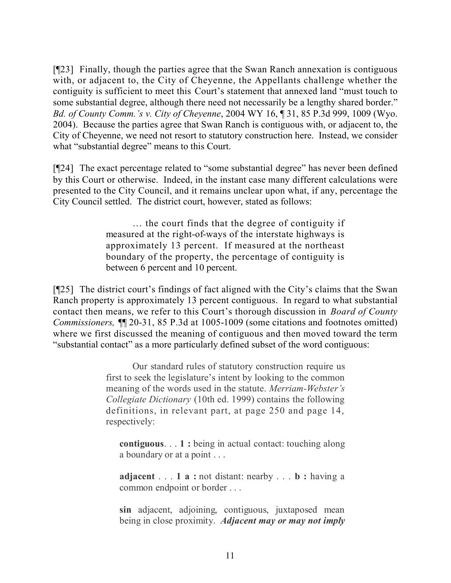[¶23] Finally, though the parties agree that the Swan Ranch annexation is contiguous with, or adjacent to, the City of Cheyenne, the Appellants challenge whether the contiguity is sufficient to meet this Court's statement that annexed land "must touch to some substantial degree, although there need not necessarily be a lengthy shared border." *Bd. of County Comm.'s v. City of Cheyenne*, 2004 WY 16, ¶ 31, 85 P.3d 999, 1009 (Wyo. 2004). Because the parties agree that Swan Ranch is contiguous with, or adjacent to, the City of Cheyenne, we need not resort to statutory construction here. Instead, we consider what "substantial degree" means to this Court.

[¶24] The exact percentage related to "some substantial degree" has never been defined by this Court or otherwise. Indeed, in the instant case many different calculations were presented to the City Council, and it remains unclear upon what, if any, percentage the City Council settled. The district court, however, stated as follows:

> … the court finds that the degree of contiguity if measured at the right-of-ways of the interstate highways is approximately 13 percent. If measured at the northeast boundary of the property, the percentage of contiguity is between 6 percent and 10 percent.

[¶25] The district court's findings of fact aligned with the City's claims that the Swan Ranch property is approximately 13 percent contiguous. In regard to what substantial contact then means, we refer to this Court's thorough discussion in *Board of County Commissioners,* ¶¶ 20-31, 85 P.3d at 1005-1009 (some citations and footnotes omitted) where we first discussed the meaning of contiguous and then moved toward the term "substantial contact" as a more particularly defined subset of the word contiguous:

> Our standard rules of statutory construction require us first to seek the legislature's intent by looking to the common meaning of the words used in the statute. *Merriam-Webster's Collegiate Dictionary* (10th ed. 1999) contains the following definitions, in relevant part, at page 250 and page 14, respectively:

**contiguous**. . . **1 :** being in actual contact: touching along a boundary or at a point . . .

**adjacent** . . . **1 a :** not distant: nearby . . . **b :** having a common endpoint or border . . .

**sin** adjacent, adjoining, contiguous, juxtaposed mean being in close proximity. *Adjacent may or may not imply*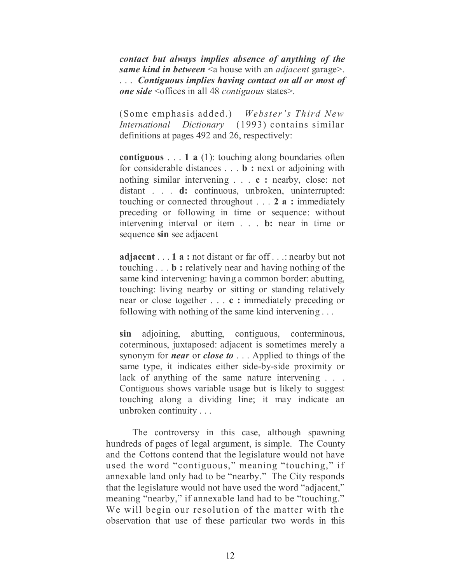*contact but always implies absence of anything of the same kind in between* <a house with an *adjacent* garage>. . . . *Contiguous implies having contact on all or most of one side* <offices in all 48 *contiguous* states>.

(Some emphasis added.) *Webster's Third New International Dictionary* (1993) contains similar definitions at pages 492 and 26, respectively:

**contiguous** . . . **1 a** (1): touching along boundaries often for considerable distances . . . **b :** next or adjoining with nothing similar intervening . . . **c :** nearby, close: not distant . . . **d:** continuous, unbroken, uninterrupted: touching or connected throughout . . . **2 a :** immediately preceding or following in time or sequence: without intervening interval or item . . . **b:** near in time or sequence **sin** see adjacent

**adjacent** . . . **1 a :** not distant or far off . . .: nearby but not touching . . . **b :** relatively near and having nothing of the same kind intervening: having a common border: abutting, touching: living nearby or sitting or standing relatively near or close together . . . **c :** immediately preceding or following with nothing of the same kind intervening . . .

**sin** adjoining, abutting, contiguous, conterminous, coterminous, juxtaposed: adjacent is sometimes merely a synonym for *near* or *close to* . . . Applied to things of the same type, it indicates either side-by-side proximity or lack of anything of the same nature intervening . . . Contiguous shows variable usage but is likely to suggest touching along a dividing line; it may indicate an unbroken continuity . . .

The controversy in this case, although spawning hundreds of pages of legal argument, is simple. The County and the Cottons contend that the legislature would not have used the word "contiguous," meaning "touching," if annexable land only had to be "nearby." The City responds that the legislature would not have used the word "adjacent," meaning "nearby," if annexable land had to be "touching." We will begin our resolution of the matter with the observation that use of these particular two words in this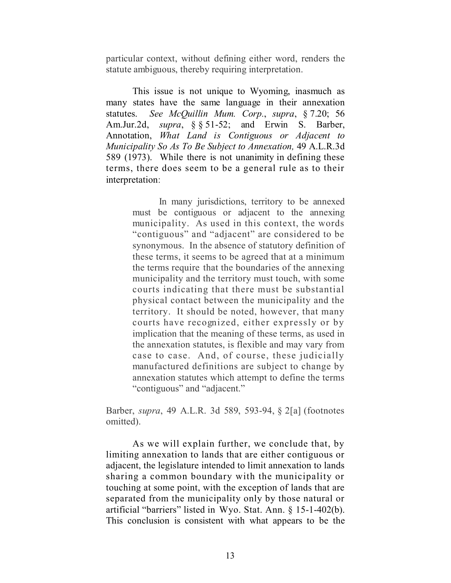particular context, without defining either word, renders the statute ambiguous, thereby requiring interpretation.

This issue is not unique to Wyoming, inasmuch as many states have the same language in their annexation statutes. *See McQuillin Mum. Corp.*, *supra*, § 7.20; 56 Am.Jur.2d, *supra*, §§ 51-52; and Erwin S. Barber, Annotation, *What Land is Contiguous or Adjacent to Municipality So As To Be Subject to Annexation,* 49 A.L.R.3d 589 (1973). While there is not unanimity in defining these terms, there does seem to be a general rule as to their interpretation:

> In many jurisdictions, territory to be annexed must be contiguous or adjacent to the annexing municipality. As used in this context, the words "contiguous" and "adjacent" are considered to be synonymous. In the absence of statutory definition of these terms, it seems to be agreed that at a minimum the terms require that the boundaries of the annexing municipality and the territory must touch, with some courts indicating that there must be substantial physical contact between the municipality and the territory. It should be noted, however, that many courts have recognized, either expressly or by implication that the meaning of these terms, as used in the annexation statutes, is flexible and may vary from case to case. And, of course, these judicially manufactured definitions are subject to change by annexation statutes which attempt to define the terms "contiguous" and "adjacent."

Barber, *supra*, 49 A.L.R. 3d 589, 593-94, § 2[a] (footnotes omitted).

As we will explain further, we conclude that, by limiting annexation to lands that are either contiguous or adjacent, the legislature intended to limit annexation to lands sharing a common boundary with the municipality or touching at some point, with the exception of lands that are separated from the municipality only by those natural or artificial "barriers" listed in Wyo. Stat. Ann. § 15-1-402(b). This conclusion is consistent with what appears to be the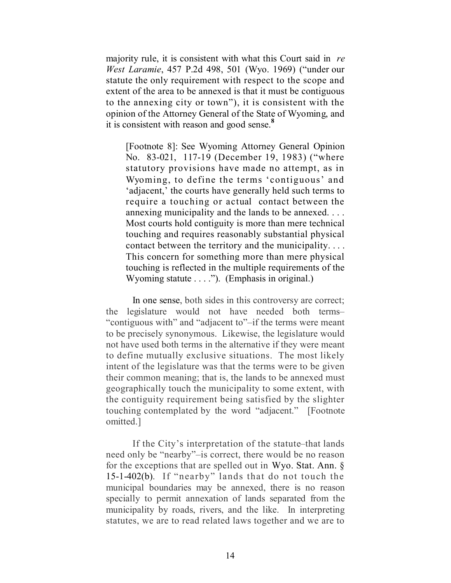majority rule, it is consistent with what this Court said in *re West Laramie*, 457 P.2d 498, 501 (Wyo. 1969) ("under our statute the only requirement with respect to the scope and extent of the area to be annexed is that it must be contiguous to the annexing city or town"), it is consistent with the opinion of the Attorney General of the State of Wyoming, and it is consistent with reason and good sense. **8**

[Footnote 8]: See Wyoming Attorney General Opinion No. 83-021, 117-19 (December 19, 1983) ("where statutory provisions have made no attempt, as in Wyoming, to define the terms 'contiguous' and 'adjacent,' the courts have generally held such terms to require a touching or actual contact between the annexing municipality and the lands to be annexed. . . . Most courts hold contiguity is more than mere technical touching and requires reasonably substantial physical contact between the territory and the municipality. . . . This concern for something more than mere physical touching is reflected in the multiple requirements of the Wyoming statute . . . ."). (Emphasis in original.)

In one sense, both sides in this controversy are correct; the legislature would not have needed both terms– "contiguous with" and "adjacent to"–if the terms were meant to be precisely synonymous. Likewise, the legislature would not have used both terms in the alternative if they were meant to define mutually exclusive situations. The most likely intent of the legislature was that the terms were to be given their common meaning; that is, the lands to be annexed must geographically touch the municipality to some extent, with the contiguity requirement being satisfied by the slighter touching contemplated by the word "adjacent." [Footnote omitted.]

If the City's interpretation of the statute–that lands need only be "nearby"–is correct, there would be no reason for the exceptions that are spelled out in Wyo. Stat. Ann. § 15-1-402(b). If "nearby" lands that do not touch the municipal boundaries may be annexed, there is no reason specially to permit annexation of lands separated from the municipality by roads, rivers, and the like. In interpreting statutes, we are to read related laws together and we are to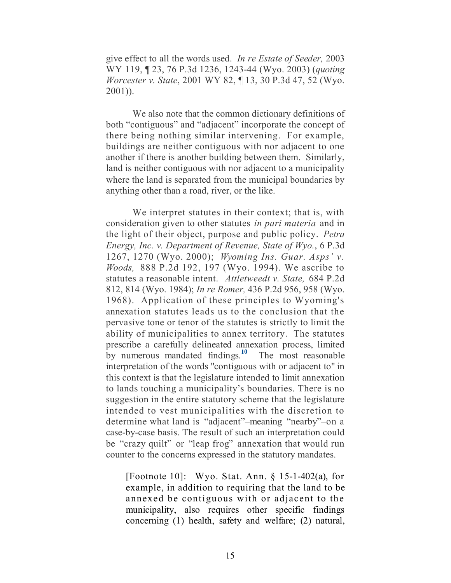give effect to all the words used. *In re Estate of Seeder,* 2003 WY 119, ¶ 23, 76 P.3d 1236, 1243-44 (Wyo. 2003) (*quoting Worcester v. State*, 2001 WY 82, ¶ 13, 30 P.3d 47, 52 (Wyo. 2001)).

We also note that the common dictionary definitions of both "contiguous" and "adjacent" incorporate the concept of there being nothing similar intervening. For example, buildings are neither contiguous with nor adjacent to one another if there is another building between them. Similarly, land is neither contiguous with nor adjacent to a municipality where the land is separated from the municipal boundaries by anything other than a road, river, or the like.

We interpret statutes in their context; that is, with consideration given to other statutes *in pari materia* and in the light of their object, purpose and public policy. *Petra Energy, Inc. v. Department of Revenue, State of Wyo.*, 6 P.3d 1267, 1270 (Wyo. 2000); *Wyoming Ins. Guar. Asps' v. Woods,* 888 P.2d 192, 197 (Wyo. 1994). We ascribe to statutes a reasonable intent. *Attletweedt v. State,* 684 P.2d 812, 814 (Wyo. 1984); *In re Romer,* 436 P.2d 956, 958 (Wyo. 1968). Application of these principles to Wyoming's annexation statutes leads us to the conclusion that the pervasive tone or tenor of the statutes is strictly to limit the ability of municipalities to annex territory. The statutes prescribe a carefully delineated annexation process, limited by numerous mandated findings. **10** The most reasonable interpretation of the words "contiguous with or adjacent to" in this context is that the legislature intended to limit annexation to lands touching a municipality's boundaries. There is no suggestion in the entire statutory scheme that the legislature intended to vest municipalities with the discretion to determine what land is "adjacent"–meaning "nearby"–on a case-by-case basis. The result of such an interpretation could be "crazy quilt" or "leap frog" annexation that would run counter to the concerns expressed in the statutory mandates.

[Footnote 10]: Wyo. Stat. Ann. § 15-1-402(a), for example, in addition to requiring that the land to be annexed be contiguous with or adjacent to the municipality, also requires other specific findings concerning (1) health, safety and welfare; (2) natural,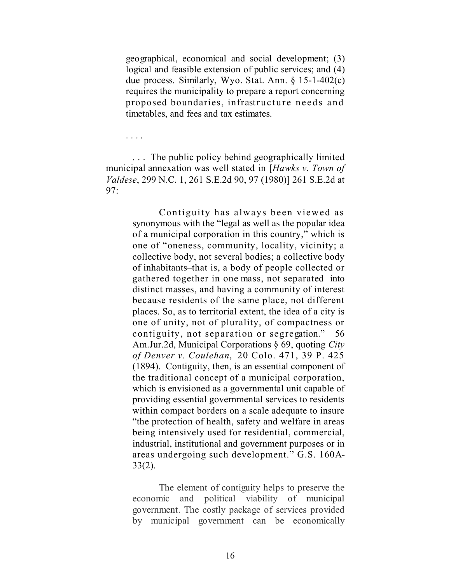geographical, economical and social development; (3) logical and feasible extension of public services; and (4) due process. Similarly, Wyo. Stat. Ann. § 15-1-402(c) requires the municipality to prepare a report concerning proposed boundaries, infrastructure needs and timetables, and fees and tax estimates.

. . . .

. . . The public policy behind geographically limited municipal annexation was well stated in [*Hawks v. Town of Valdese*, 299 N.C. 1, 261 S.E.2d 90, 97 (1980)] 261 S.E.2d at 97:

> Contiguity has always been viewed as synonymous with the "legal as well as the popular idea of a municipal corporation in this country," which is one of "oneness, community, locality, vicinity; a collective body, not several bodies; a collective body of inhabitants–that is, a body of people collected or gathered together in one mass, not separated into distinct masses, and having a community of interest because residents of the same place, not different places. So, as to territorial extent, the idea of a city is one of unity, not of plurality, of compactness or contiguity, not separation or segregation." 56 Am.Jur.2d, Municipal Corporations § 69, quoting *City of Denver v. Coulehan*, 20 Colo. 471, 39 P. 425 (1894). Contiguity, then, is an essential component of the traditional concept of a municipal corporation, which is envisioned as a governmental unit capable of providing essential governmental services to residents within compact borders on a scale adequate to insure "the protection of health, safety and welfare in areas being intensively used for residential, commercial, industrial, institutional and government purposes or in areas undergoing such development." G.S. 160A-33(2).

> The element of contiguity helps to preserve the economic and political viability of municipal government. The costly package of services provided by municipal government can be economically